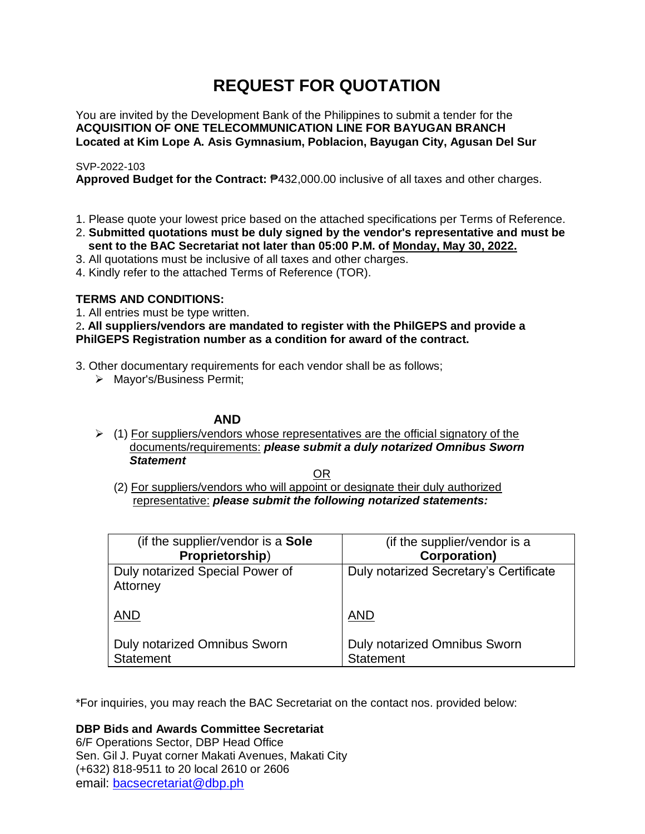# **REQUEST FOR QUOTATION**

You are invited by the Development Bank of the Philippines to submit a tender for the **ACQUISITION OF ONE TELECOMMUNICATION LINE FOR BAYUGAN BRANCH Located at Kim Lope A. Asis Gymnasium, Poblacion, Bayugan City, Agusan Del Sur**

# SVP-2022-103

**Approved Budget for the Contract:** ₱432,000.00 inclusive of all taxes and other charges.

- 1. Please quote your lowest price based on the attached specifications per Terms of Reference.
- 2. **Submitted quotations must be duly signed by the vendor's representative and must be sent to the BAC Secretariat not later than 05:00 P.M. of Monday, May 30, 2022.**
- 3. All quotations must be inclusive of all taxes and other charges.
- 4. Kindly refer to the attached Terms of Reference (TOR).

# **TERMS AND CONDITIONS:**

1. All entries must be type written.

2**. All suppliers/vendors are mandated to register with the PhilGEPS and provide a PhilGEPS Registration number as a condition for award of the contract.**

- 3. Other documentary requirements for each vendor shall be as follows;
	- > Mayor's/Business Permit;

# **AND**

 $\geq$  (1) For suppliers/vendors whose representatives are the official signatory of the documents/requirements: *please submit a duly notarized Omnibus Sworn Statement*

<u>OR Starting and the Starting OR Starting</u>

(2) For suppliers/vendors who will appoint or designate their duly authorized representative: *please submit the following notarized statements:*

| (if the supplier/vendor is a Sole           | (if the supplier/vendor is a           |
|---------------------------------------------|----------------------------------------|
| Proprietorship)                             | <b>Corporation)</b>                    |
| Duly notarized Special Power of<br>Attorney | Duly notarized Secretary's Certificate |
| <b>AND</b>                                  | <b>AND</b>                             |
| Duly notarized Omnibus Sworn                | Duly notarized Omnibus Sworn           |
| <b>Statement</b>                            | <b>Statement</b>                       |

\*For inquiries, you may reach the BAC Secretariat on the contact nos. provided below:

**DBP Bids and Awards Committee Secretariat** 

6/F Operations Sector, DBP Head Office Sen. Gil J. Puyat corner Makati Avenues, Makati City (+632) 818-9511 to 20 local 2610 or 2606 email: [bacsecretariat@dbp.ph](mailto:bacsecretariat@dbp.ph)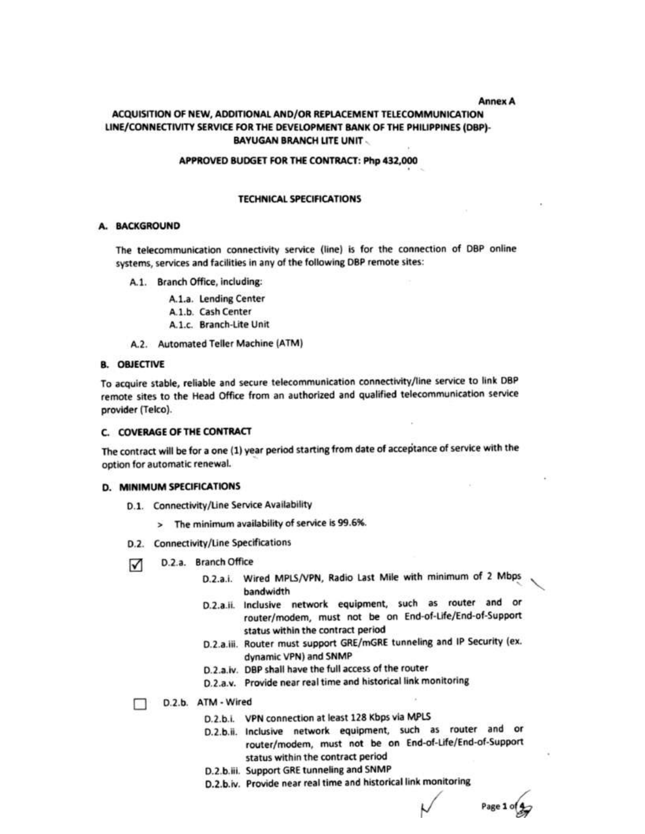#### **Annex A**

## ACQUISITION OF NEW, ADDITIONAL AND/OR REPLACEMENT TELECOMMUNICATION LINE/CONNECTIVITY SERVICE FOR THE DEVELOPMENT BANK OF THE PHILIPPINES (DBP)-**BAYUGAN BRANCH LITE UNIT.**

#### APPROVED BUDGET FOR THE CONTRACT: Php 432,000

### **TECHNICAL SPECIFICATIONS**

### A. BACKGROUND

The telecommunication connectivity service (line) is for the connection of DBP online systems, services and facilities in any of the following DBP remote sites:

A.1. Branch Office, including:

A.1.a. Lending Center A.1.b. Cash Center A.1.c. Branch-Lite Unit

A.2. Automated Teller Machine (ATM)

### **B. OBJECTIVE**

To acquire stable, reliable and secure telecommunication connectivity/line service to link DBP remote sites to the Head Office from an authorized and qualified telecommunication service provider (Telco).

#### C. COVERAGE OF THE CONTRACT

The contract will be for a one (1) year period starting from date of acceptance of service with the option for automatic renewal.

#### **D. MINIMUM SPECIFICATIONS**

- D.1. Connectivity/Line Service Availability
	- > The minimum availability of service is 99.6%.
- D.2. Connectivity/Line Specifications
- D.2.a. Branch Office ☑
	- D.2.a.i. Wired MPLS/VPN, Radio Last Mile with minimum of 2 Mbps bandwidth
	- D.2.a.ii. Inclusive network equipment, such as router and or router/modem, must not be on End-of-Life/End-of-Support status within the contract period
	- D.2.a.iii. Router must support GRE/mGRE tunneling and IP Security (ex. dynamic VPN) and SNMP
	- D.2.a.iv. DBP shall have the full access of the router
	- D.2.a.v. Provide near real time and historical link monitoring
	- D.2.b. ATM Wired
		- D.2.b.i. VPN connection at least 128 Kbps via MPLS
		- D.2.b.ii. Inclusive network equipment, such as router and or router/modem, must not be on End-of-Life/End-of-Support status within the contract period
		- D.2.b.iii. Support GRE tunneling and SNMP
		- D.2.b.iv. Provide near real time and historical link monitoring

Page 1 of 4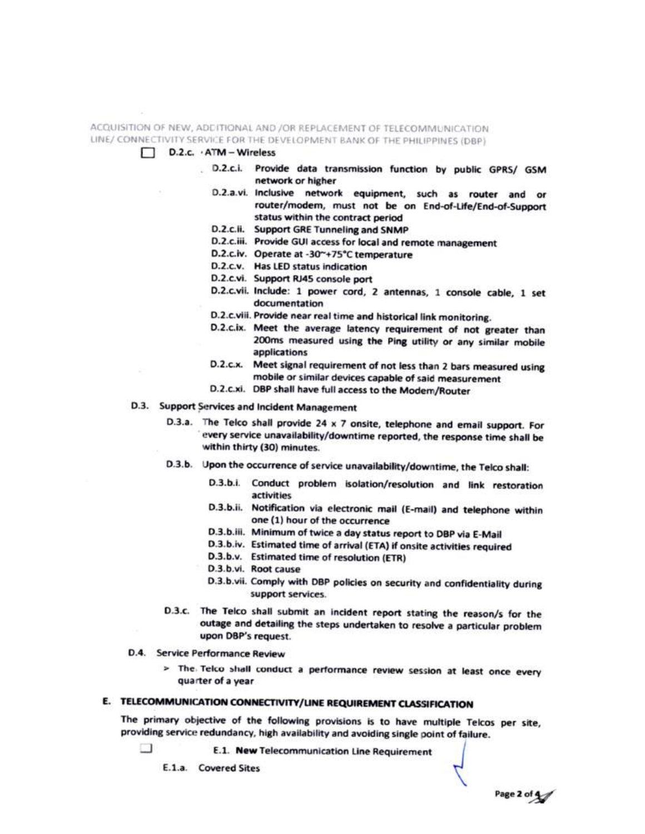ACQUISITION OF NEW, ADDITIONAL AND /OR REPLACEMENT OF TELECOMMUNICATION LINE/ CONNECTIVITY SERVICE FOR THE DEVELOPMENT BANK OF THE PHILIPPINES (DBP)

- D.2.c. · ATM Wireless
	- D.2.c.i. Provide data transmission function by public GPRS/ GSM network or higher
		- D.2.a.vi. Inclusive network equipment, such as router and or router/modem, must not be on End-of-Life/End-of-Support status within the contract period
		- D.2.c.ii. Support GRE Tunneling and SNMP
		- D.2.c.iii. Provide GUI access for local and remote management
		- D.2.c.iv. Operate at -30~+75°C temperature
		- D.2.c.v. Has LED status indication
		- D.2.c.vi. Support RJ45 console port
		- D.2.c.vii. Include: 1 power cord, 2 antennas, 1 console cable, 1 set documentation
		- D.2.c.viii. Provide near real time and historical link monitoring.
		- D.2.c.ix. Meet the average latency requirement of not greater than 200ms measured using the Ping utility or any similar mobile applications
		- D.2.c.x. Meet signal requirement of not less than 2 bars measured using mobile or similar devices capable of said measurement
		- D.2.c.xi. DBP shall have full access to the Modem/Router
- D.3. Support Services and Incident Management
	- D.3.a. The Telco shall provide 24 x 7 onsite, telephone and email support. For every service unavailability/downtime reported, the response time shall be within thirty (30) minutes.
	- D.3.b. Upon the occurrence of service unavailability/downtime, the Telco shall:
		- D.3.b.i. Conduct problem isolation/resolution and link restoration activities
		- D.3.b.ii. Notification via electronic mail (E-mail) and telephone within one (1) hour of the occurrence
		- D.3.b.iii. Minimum of twice a day status report to DBP via E-Mail
		- D.3.b.iv. Estimated time of arrival (ETA) if onsite activities required
		- D.3.b.v. Estimated time of resolution (ETR)
		- D.3.b.vi. Root cause
		- D.3.b.vii. Comply with DBP policies on security and confidentiality during support services.
	- D.3.c. The Telco shall submit an incident report stating the reason/s for the outage and detailing the steps undertaken to resolve a particular problem upon DBP's request.
- D.4. Service Performance Review
	- > The Telco shall conduct a performance review session at least once every quarter of a year

# E. TELECOMMUNICATION CONNECTIVITY/LINE REQUIREMENT CLASSIFICATION

The primary objective of the following provisions is to have multiple Telcos per site, providing service redundancy, high availability and avoiding single point of failure.

ា

- E.1. New Telecommunication Line Requirement
- E.1.a. Covered Sites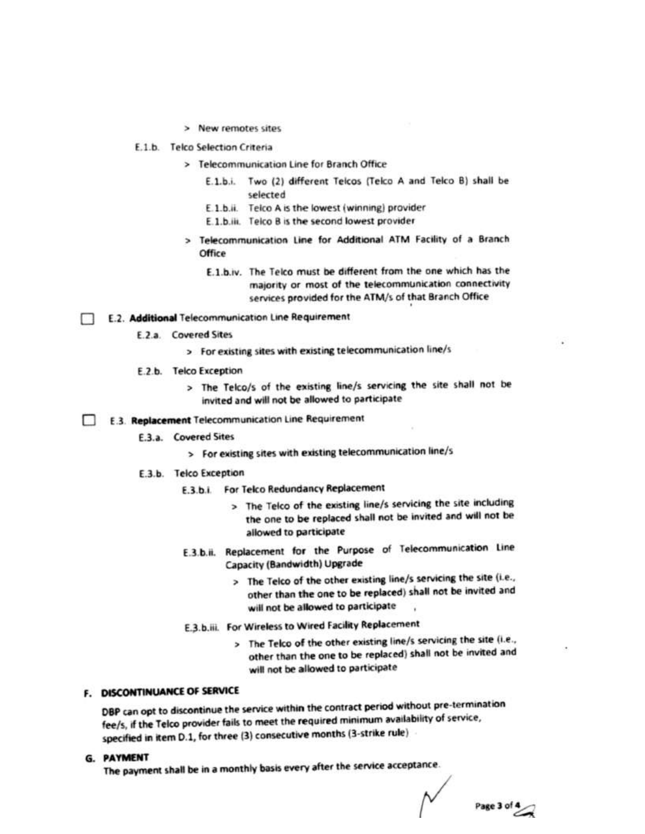- > New remotes sites
- E.1.b. Telco Selection Criteria
	- > Telecommunication Line for Branch Office
		- E.1.b.i. Two (2) different Telcos (Telco A and Telco B) shall be selected
		- E.1.b.ii. Telco A is the lowest (winning) provider
		- E.1.b.iii. Telco B is the second lowest provider
	- > Telecommunication Line for Additional ATM Facility of a Branch Office
		- E.1.b.iv. The Telco must be different from the one which has the majority or most of the telecommunication connectivity services provided for the ATM/s of that Branch Office

# E.2. Additional Telecommunication Line Requirement

- **E.2.a.** Covered Sites
	- > For existing sites with existing telecommunication line/s
- E.2.b. Telco Exception
	- > The Telco/s of the existing line/s servicing the site shall not be invited and will not be allowed to participate

### **E.3. Replacement Telecommunication Line Requirement**

- **F.3.a.** Covered Sites
	- > For existing sites with existing telecommunication line/s
- E.3.b. Telco Exception
	- E.3.b.i. For Telco Redundancy Replacement
		- > The Telco of the existing line/s servicing the site including the one to be replaced shall not be invited and will not be allowed to participate
	- E.3.b.ii. Replacement for the Purpose of Telecommunication Line Capacity (Bandwidth) Upgrade
		- > The Telco of the other existing line/s servicing the site (i.e., other than the one to be replaced) shall not be invited and will not be allowed to participate
	- E.3.b.iii. For Wireless to Wired Facility Replacement
		- > The Telco of the other existing line/s servicing the site (i.e., other than the one to be replaced) shall not be invited and will not be allowed to participate

# F. DISCONTINUANCE OF SERVICE

DBP can opt to discontinue the service within the contract period without pre-termination fee/s, if the Telco provider fails to meet the required minimum availability of service, specified in item D.1, for three (3) consecutive months (3-strike rule)

**G. PAYMENT** 

The payment shall be in a monthly basis every after the service acceptance.